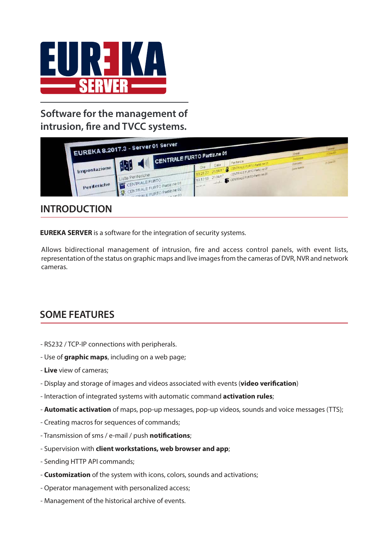

# **Software for the management of** intrusion, fire and TVCC systems.



### **INTRODUCTION**

**EUREKA SERVER** is a software for the integration of security systems.

Allows bidirectional management of intrusion, fire and access control panels, with event lists, representation of the status on graphic maps and live images from the cameras of DVR, NVR and network cameras.

### **SOME FEATURES**

- RS232 / TCP-IP connections with peripherals.
- Use of **graphic maps**, including on a web page;
- **Live** view of cameras:
- Display and storage of images and videos associated with events (video verification)
- Interaction of integrated systems with automatic command **activation rules**;
- **Automatic activation** of maps, pop-up messages, pop-up videos, sounds and voice messages (TTS);
- Creating macros for sequences of commands;
- Transmission of sms / e-mail / push **notifications**;
- Supervision with **client workstations, web browser and app**;
- Sending HTTP API commands;
- **Customization** of the system with icons, colors, sounds and activations;
- Operator management with personalized access;
- Management of the historical archive of events.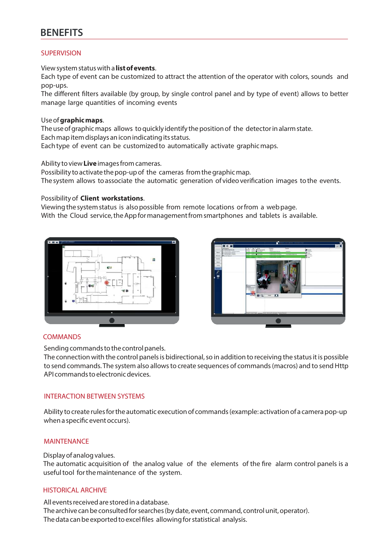### **BENEFITS**

#### **SUPERVISION**

View system status with a **list of events**.

Each type of event can be customized to attract the attention of the operator with colors, sounds and pop-ups.

The different filters available (by group, by single control panel and by type of event) allows to better manage large quantities of incoming events

#### Use of graphic maps.

The use of graphic maps allows to quickly identify the position of the detector in alarm state. Each map item displays an icon indicating its status.

Each type of event can be customized to automatically activate graphic maps.

#### Ability to view **Live** images from cameras.

Possibility to activate the pop-up of the cameras from the graphic map. The system allows to associate the automatic generation of video verification images to the events.

#### Possibility of **Client workstations**.

Viewing the system status is also possible from remote locations or from a web page. With the Cloud service, the App for management from smartphones and tablets is available.





#### **COMMANDS**

Sending commands to the control panels.

The connection with the control panels is bidirectional, so in addition to receiving the status it is possible to send commands. The system also allows to create sequences of commands (macros) and to send Http API commands to electronic devices.

#### INTERACTION BETWEEN SYSTEMS

Ability to create rules for the automatic execution of commands (example: activation of a camera pop-up when a specific event occurs).

#### MAINTENANCE

Display of analog values.

The automatic acquisition of the analog value of the elements of the fire alarm control panels is a useful tool for the maintenance of the system.

#### HISTORICAL ARCHIVE

All events received are stored in a database. The archive can be consulted for searches (by date, event, command, control unit, operator). The data can be exported to excel files allowing for statistical analysis.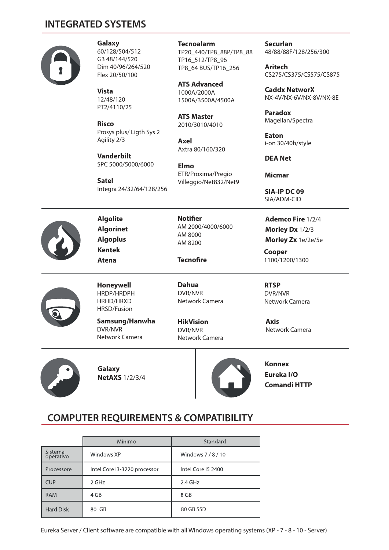### **INTEGRATED SYSTEMS**



**Galaxy** 60/128/504/512 G3 48/144/520 Dim 40/96/264/520 Flex 20/50/100

**Vista** 12/48/120 PT2/4110/25

**Risco** Prosys plus/ Ligth Sys 2 Agility 2/3

**Vanderbilt** SPC 5000/5000/6000

**Satel** Integra 24/32/64/128/256 **Tecnoalarm** TP20\_440/TP8\_88P/TP8\_88 TP16\_512/TP8\_96 TP8\_64 BUS/TP16\_256

**ATS Advanced** 1000A/2000A 1500A/3500A/4500A

**ATS Master** 2010/3010/4010

**Axel** Axtra 80/160/320

**Elmo** ETR/Proxima/Pregio Villeggio/Net832/Net9

**Notifier** AM 2000/4000/6000 AM 8000 AM 8200

**Tecnofire** 

**Dahua**

DVR/NVR Network Camera

**HikVision** DVR/NVR Network Camera **Securlan** 48/88/88F/128/256/300

**Aritech** CS275/CS375/CS575/CS875

**Caddx NetworX** NX-4V/NX-6V/NX-8V/NX-8E

**Paradox** Magellan/Spectra

**Eaton** i-on 30/40h/style

**DEA Net**

**Micmar**

**SIA-IP DC 09** SIA/ADM-CID

**Ademco Fire** 1/2/4 **Morley Dx** 1/2/3 **Morley Zx** 1e/2e/5e

**Cooper** 1100/1200/1300

**RTSP** DVR/NVR Network Camera

**Honeywell** HRDP/HRDPH HRHD/HRXD HRSD/Fusion

**Algolite Algorinet Algoplus Kentek Atena**

**Samsung/Hanwha** DVR/NVR Network Camera

**Axis** Network Camera



**Galaxy NetAXS** 1/2/3/4



**Konnex Eureka I/O Comandi HTTP**

## **COMPUTER REQUIREMENTS & COMPATIBILITY**

|                      | Minimo                       | Standard           |
|----------------------|------------------------------|--------------------|
| Sistema<br>operativo | Windows XP                   | Windows 7/8/10     |
| Processore           | Intel Core i3-3220 processor | Intel Core i5 2400 |
| <b>CUP</b>           | 2 GHz                        | $2.4$ GHz          |
| <b>RAM</b>           | 4 GB                         | 8 GB               |
| <b>Hard Disk</b>     | 80 GB                        | 80 GB SSD          |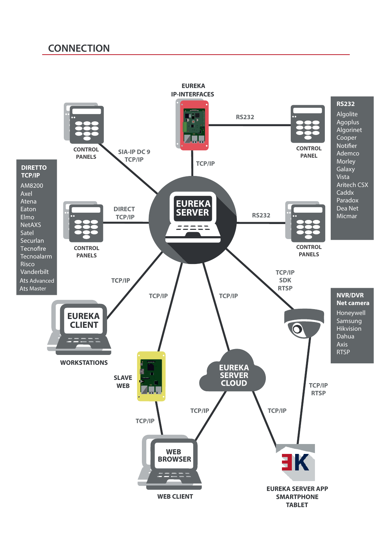## **CONNECTION**

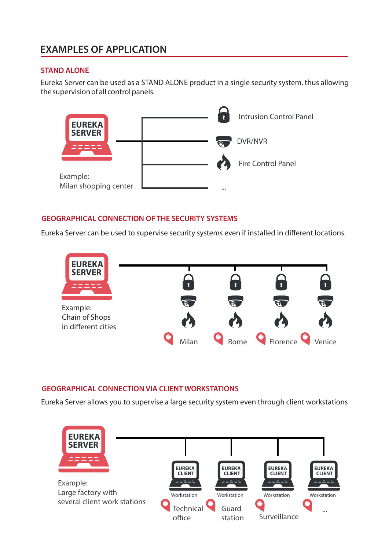## **EXAMPLES OF APPLICATION**

### **STAND ALONE**

Eureka Server can be used as a STAND ALONE product in a single security system, thus allowing the supervision of all control panels.



### **GEOGRAPHICAL CONNECTION OF THE SECURITY SYSTEMS**

Eureka Server can be used to supervise security systems even if installed in different locations.



### **GEOGRAPHICAL CONNECTION VIA CLIENT WORKSTATIONS**

Eureka Server allows you to supervise a large security system even through client workstations